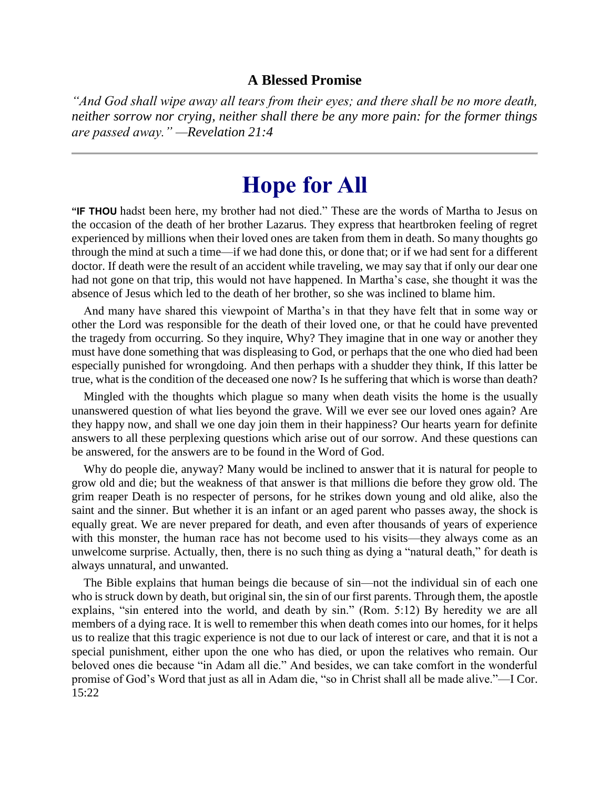#### **A Blessed Promise**

*"And God shall wipe away all tears from their eyes; and there shall be no more death, neither sorrow nor crying, neither shall there be any more pain: for the former things are passed away." —Revelation 21:4*

# **Hope for All**

**"IF THOU** hadst been here, my brother had not died." These are the words of Martha to Jesus on the occasion of the death of her brother Lazarus. They express that heartbroken feeling of regret experienced by millions when their loved ones are taken from them in death. So many thoughts go through the mind at such a time—if we had done this, or done that; or if we had sent for a different doctor. If death were the result of an accident while traveling, we may say that if only our dear one had not gone on that trip, this would not have happened. In Martha's case, she thought it was the absence of Jesus which led to the death of her brother, so she was inclined to blame him.

And many have shared this viewpoint of Martha's in that they have felt that in some way or other the Lord was responsible for the death of their loved one, or that he could have prevented the tragedy from occurring. So they inquire, Why? They imagine that in one way or another they must have done something that was displeasing to God, or perhaps that the one who died had been especially punished for wrongdoing. And then perhaps with a shudder they think, If this latter be true, what is the condition of the deceased one now? Is he suffering that which is worse than death?

Mingled with the thoughts which plague so many when death visits the home is the usually unanswered question of what lies beyond the grave. Will we ever see our loved ones again? Are they happy now, and shall we one day join them in their happiness? Our hearts yearn for definite answers to all these perplexing questions which arise out of our sorrow. And these questions can be answered, for the answers are to be found in the Word of God.

Why do people die, anyway? Many would be inclined to answer that it is natural for people to grow old and die; but the weakness of that answer is that millions die before they grow old. The grim reaper Death is no respecter of persons, for he strikes down young and old alike, also the saint and the sinner. But whether it is an infant or an aged parent who passes away, the shock is equally great. We are never prepared for death, and even after thousands of years of experience with this monster, the human race has not become used to his visits—they always come as an unwelcome surprise. Actually, then, there is no such thing as dying a "natural death," for death is always unnatural, and unwanted.

The Bible explains that human beings die because of sin—not the individual sin of each one who is struck down by death, but original sin, the sin of our first parents. Through them, the apostle explains, "sin entered into the world, and death by sin." (Rom. 5:12) By heredity we are all members of a dying race. It is well to remember this when death comes into our homes, for it helps us to realize that this tragic experience is not due to our lack of interest or care, and that it is not a special punishment, either upon the one who has died, or upon the relatives who remain. Our beloved ones die because "in Adam all die." And besides, we can take comfort in the wonderful promise of God's Word that just as all in Adam die, "so in Christ shall all be made alive."—I Cor. 15:22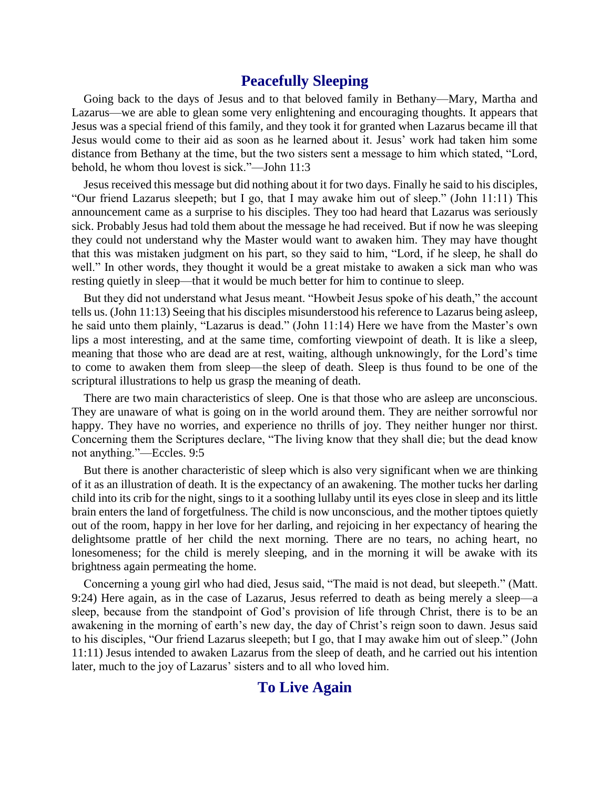## **Peacefully Sleeping**

Going back to the days of Jesus and to that beloved family in Bethany—Mary, Martha and Lazarus—we are able to glean some very enlightening and encouraging thoughts. It appears that Jesus was a special friend of this family, and they took it for granted when Lazarus became ill that Jesus would come to their aid as soon as he learned about it. Jesus' work had taken him some distance from Bethany at the time, but the two sisters sent a message to him which stated, "Lord, behold, he whom thou lovest is sick."—John 11:3

Jesus received this message but did nothing about it for two days. Finally he said to his disciples, "Our friend Lazarus sleepeth; but I go, that I may awake him out of sleep." (John 11:11) This announcement came as a surprise to his disciples. They too had heard that Lazarus was seriously sick. Probably Jesus had told them about the message he had received. But if now he was sleeping they could not understand why the Master would want to awaken him. They may have thought that this was mistaken judgment on his part, so they said to him, "Lord, if he sleep, he shall do well." In other words, they thought it would be a great mistake to awaken a sick man who was resting quietly in sleep—that it would be much better for him to continue to sleep.

But they did not understand what Jesus meant. "Howbeit Jesus spoke of his death," the account tells us. (John 11:13) Seeing that his disciples misunderstood his reference to Lazarus being asleep, he said unto them plainly, "Lazarus is dead." (John 11:14) Here we have from the Master's own lips a most interesting, and at the same time, comforting viewpoint of death. It is like a sleep, meaning that those who are dead are at rest, waiting, although unknowingly, for the Lord's time to come to awaken them from sleep—the sleep of death. Sleep is thus found to be one of the scriptural illustrations to help us grasp the meaning of death.

There are two main characteristics of sleep. One is that those who are asleep are unconscious. They are unaware of what is going on in the world around them. They are neither sorrowful nor happy. They have no worries, and experience no thrills of joy. They neither hunger nor thirst. Concerning them the Scriptures declare, "The living know that they shall die; but the dead know not anything."—Eccles. 9:5

But there is another characteristic of sleep which is also very significant when we are thinking of it as an illustration of death. It is the expectancy of an awakening. The mother tucks her darling child into its crib for the night, sings to it a soothing lullaby until its eyes close in sleep and its little brain enters the land of forgetfulness. The child is now unconscious, and the mother tiptoes quietly out of the room, happy in her love for her darling, and rejoicing in her expectancy of hearing the delightsome prattle of her child the next morning. There are no tears, no aching heart, no lonesomeness; for the child is merely sleeping, and in the morning it will be awake with its brightness again permeating the home.

Concerning a young girl who had died, Jesus said, "The maid is not dead, but sleepeth." (Matt. 9:24) Here again, as in the case of Lazarus, Jesus referred to death as being merely a sleep—a sleep, because from the standpoint of God's provision of life through Christ, there is to be an awakening in the morning of earth's new day, the day of Christ's reign soon to dawn. Jesus said to his disciples, "Our friend Lazarus sleepeth; but I go, that I may awake him out of sleep." (John 11:11) Jesus intended to awaken Lazarus from the sleep of death, and he carried out his intention later, much to the joy of Lazarus' sisters and to all who loved him.

# **To Live Again**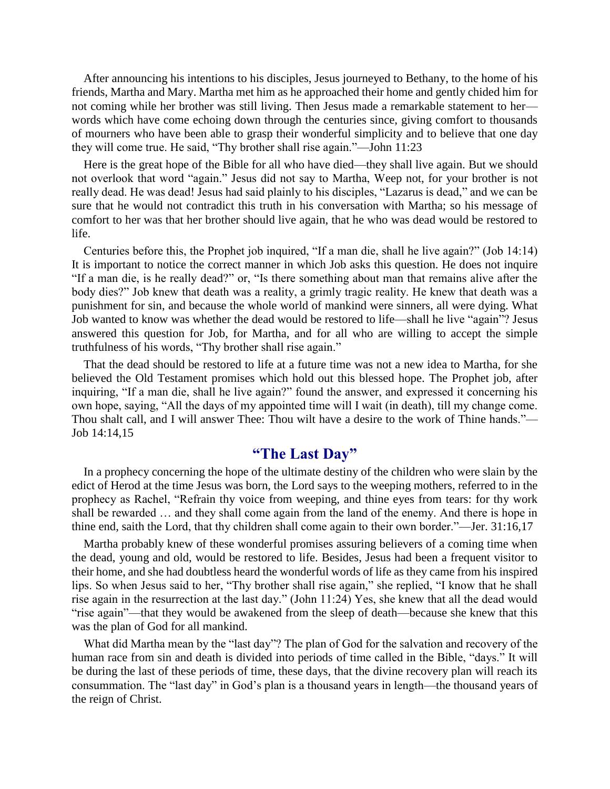After announcing his intentions to his disciples, Jesus journeyed to Bethany, to the home of his friends, Martha and Mary. Martha met him as he approached their home and gently chided him for not coming while her brother was still living. Then Jesus made a remarkable statement to her words which have come echoing down through the centuries since, giving comfort to thousands of mourners who have been able to grasp their wonderful simplicity and to believe that one day they will come true. He said, "Thy brother shall rise again."—John 11:23

Here is the great hope of the Bible for all who have died—they shall live again. But we should not overlook that word "again." Jesus did not say to Martha, Weep not, for your brother is not really dead. He was dead! Jesus had said plainly to his disciples, "Lazarus is dead," and we can be sure that he would not contradict this truth in his conversation with Martha; so his message of comfort to her was that her brother should live again, that he who was dead would be restored to life.

Centuries before this, the Prophet job inquired, "If a man die, shall he live again?" (Job 14:14) It is important to notice the correct manner in which Job asks this question. He does not inquire "If a man die, is he really dead?" or, "Is there something about man that remains alive after the body dies?" Job knew that death was a reality, a grimly tragic reality. He knew that death was a punishment for sin, and because the whole world of mankind were sinners, all were dying. What Job wanted to know was whether the dead would be restored to life—shall he live "again"? Jesus answered this question for Job, for Martha, and for all who are willing to accept the simple truthfulness of his words, "Thy brother shall rise again."

That the dead should be restored to life at a future time was not a new idea to Martha, for she believed the Old Testament promises which hold out this blessed hope. The Prophet job, after inquiring, "If a man die, shall he live again?" found the answer, and expressed it concerning his own hope, saying, "All the days of my appointed time will I wait (in death), till my change come. Thou shalt call, and I will answer Thee: Thou wilt have a desire to the work of Thine hands."— Job 14:14,15

# **"The Last Day"**

In a prophecy concerning the hope of the ultimate destiny of the children who were slain by the edict of Herod at the time Jesus was born, the Lord says to the weeping mothers, referred to in the prophecy as Rachel, "Refrain thy voice from weeping, and thine eyes from tears: for thy work shall be rewarded … and they shall come again from the land of the enemy. And there is hope in thine end, saith the Lord, that thy children shall come again to their own border."—Jer. 31:16,17

Martha probably knew of these wonderful promises assuring believers of a coming time when the dead, young and old, would be restored to life. Besides, Jesus had been a frequent visitor to their home, and she had doubtless heard the wonderful words of life as they came from his inspired lips. So when Jesus said to her, "Thy brother shall rise again," she replied, "I know that he shall rise again in the resurrection at the last day." (John 11:24) Yes, she knew that all the dead would "rise again"—that they would be awakened from the sleep of death—because she knew that this was the plan of God for all mankind.

What did Martha mean by the "last day"? The plan of God for the salvation and recovery of the human race from sin and death is divided into periods of time called in the Bible, "days." It will be during the last of these periods of time, these days, that the divine recovery plan will reach its consummation. The "last day" in God's plan is a thousand years in length—the thousand years of the reign of Christ.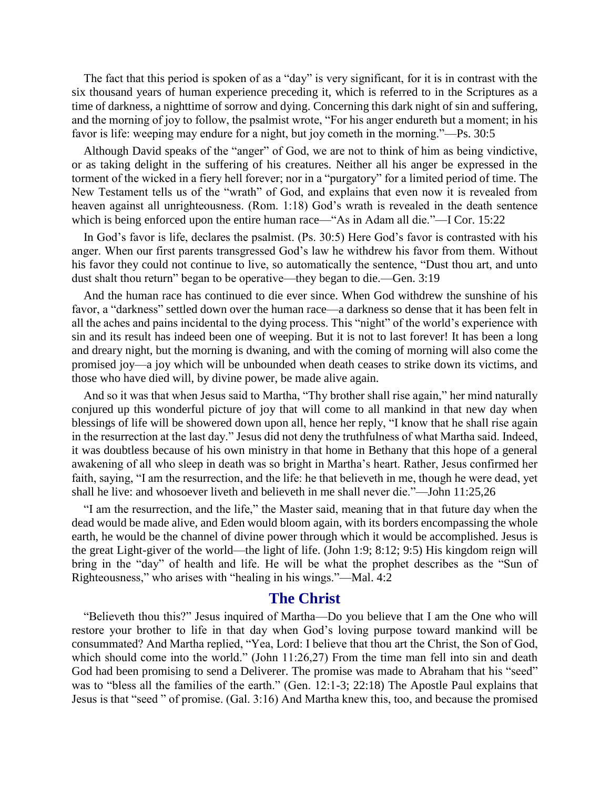The fact that this period is spoken of as a "day" is very significant, for it is in contrast with the six thousand years of human experience preceding it, which is referred to in the Scriptures as a time of darkness, a nighttime of sorrow and dying. Concerning this dark night of sin and suffering, and the morning of joy to follow, the psalmist wrote, "For his anger endureth but a moment; in his favor is life: weeping may endure for a night, but joy cometh in the morning."—Ps. 30:5

Although David speaks of the "anger" of God, we are not to think of him as being vindictive, or as taking delight in the suffering of his creatures. Neither all his anger be expressed in the torment of the wicked in a fiery hell forever; nor in a "purgatory" for a limited period of time. The New Testament tells us of the "wrath" of God, and explains that even now it is revealed from heaven against all unrighteousness. (Rom. 1:18) God's wrath is revealed in the death sentence which is being enforced upon the entire human race—"As in Adam all die."—I Cor. 15:22

In God's favor is life, declares the psalmist. (Ps. 30:5) Here God's favor is contrasted with his anger. When our first parents transgressed God's law he withdrew his favor from them. Without his favor they could not continue to live, so automatically the sentence, "Dust thou art, and unto dust shalt thou return" began to be operative—they began to die.—Gen. 3:19

And the human race has continued to die ever since. When God withdrew the sunshine of his favor, a "darkness" settled down over the human race—a darkness so dense that it has been felt in all the aches and pains incidental to the dying process. This "night" of the world's experience with sin and its result has indeed been one of weeping. But it is not to last forever! It has been a long and dreary night, but the morning is dwaning, and with the coming of morning will also come the promised joy—a joy which will be unbounded when death ceases to strike down its victims, and those who have died will, by divine power, be made alive again.

And so it was that when Jesus said to Martha, "Thy brother shall rise again," her mind naturally conjured up this wonderful picture of joy that will come to all mankind in that new day when blessings of life will be showered down upon all, hence her reply, "I know that he shall rise again in the resurrection at the last day." Jesus did not deny the truthfulness of what Martha said. Indeed, it was doubtless because of his own ministry in that home in Bethany that this hope of a general awakening of all who sleep in death was so bright in Martha's heart. Rather, Jesus confirmed her faith, saying, "I am the resurrection, and the life: he that believeth in me, though he were dead, yet shall he live: and whosoever liveth and believeth in me shall never die."—John 11:25,26

"I am the resurrection, and the life," the Master said, meaning that in that future day when the dead would be made alive, and Eden would bloom again, with its borders encompassing the whole earth, he would be the channel of divine power through which it would be accomplished. Jesus is the great Light-giver of the world—the light of life. (John 1:9; 8:12; 9:5) His kingdom reign will bring in the "day" of health and life. He will be what the prophet describes as the "Sun of Righteousness," who arises with "healing in his wings."—Mal. 4:2

#### **The Christ**

"Believeth thou this?" Jesus inquired of Martha—Do you believe that I am the One who will restore your brother to life in that day when God's loving purpose toward mankind will be consummated? And Martha replied, "Yea, Lord: I believe that thou art the Christ, the Son of God, which should come into the world." (John 11:26,27) From the time man fell into sin and death God had been promising to send a Deliverer. The promise was made to Abraham that his "seed" was to "bless all the families of the earth." (Gen. 12:1-3; 22:18) The Apostle Paul explains that Jesus is that "seed " of promise. (Gal. 3:16) And Martha knew this, too, and because the promised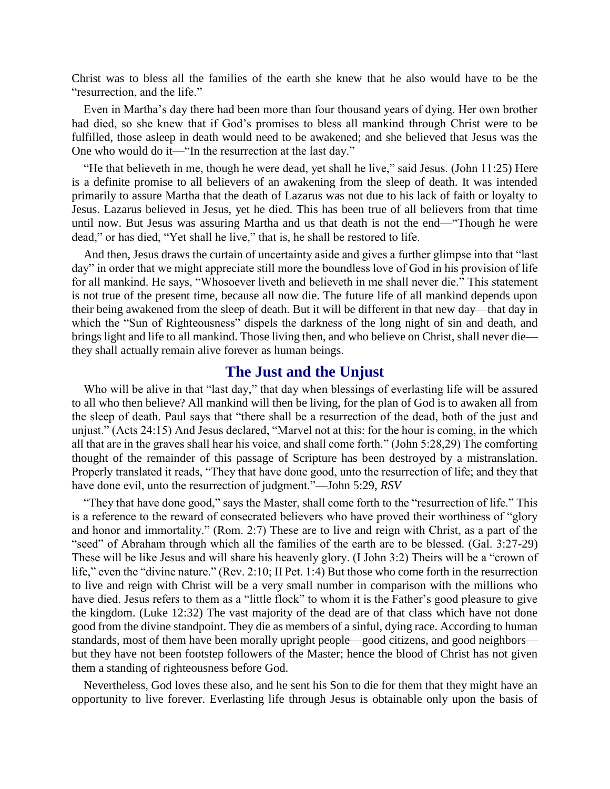Christ was to bless all the families of the earth she knew that he also would have to be the "resurrection, and the life."

Even in Martha's day there had been more than four thousand years of dying. Her own brother had died, so she knew that if God's promises to bless all mankind through Christ were to be fulfilled, those asleep in death would need to be awakened; and she believed that Jesus was the One who would do it—"In the resurrection at the last day."

"He that believeth in me, though he were dead, yet shall he live," said Jesus. (John 11:25) Here is a definite promise to all believers of an awakening from the sleep of death. It was intended primarily to assure Martha that the death of Lazarus was not due to his lack of faith or loyalty to Jesus. Lazarus believed in Jesus, yet he died. This has been true of all believers from that time until now. But Jesus was assuring Martha and us that death is not the end—"Though he were dead," or has died, "Yet shall he live," that is, he shall be restored to life.

And then, Jesus draws the curtain of uncertainty aside and gives a further glimpse into that "last day" in order that we might appreciate still more the boundless love of God in his provision of life for all mankind. He says, "Whosoever liveth and believeth in me shall never die." This statement is not true of the present time, because all now die. The future life of all mankind depends upon their being awakened from the sleep of death. But it will be different in that new day—that day in which the "Sun of Righteousness" dispels the darkness of the long night of sin and death, and brings light and life to all mankind. Those living then, and who believe on Christ, shall never die they shall actually remain alive forever as human beings.

#### **The Just and the Unjust**

Who will be alive in that "last day," that day when blessings of everlasting life will be assured to all who then believe? All mankind will then be living, for the plan of God is to awaken all from the sleep of death. Paul says that "there shall be a resurrection of the dead, both of the just and unjust." (Acts 24:15) And Jesus declared, "Marvel not at this: for the hour is coming, in the which all that are in the graves shall hear his voice, and shall come forth." (John 5:28,29) The comforting thought of the remainder of this passage of Scripture has been destroyed by a mistranslation. Properly translated it reads, "They that have done good, unto the resurrection of life; and they that have done evil, unto the resurrection of judgment."—John 5:29, *RSV*

"They that have done good," says the Master, shall come forth to the "resurrection of life." This is a reference to the reward of consecrated believers who have proved their worthiness of "glory and honor and immortality." (Rom. 2:7) These are to live and reign with Christ, as a part of the "seed" of Abraham through which all the families of the earth are to be blessed. (Gal. 3:27-29) These will be like Jesus and will share his heavenly glory. (I John 3:2) Theirs will be a "crown of life," even the "divine nature." (Rev. 2:10; II Pet. 1:4) But those who come forth in the resurrection to live and reign with Christ will be a very small number in comparison with the millions who have died. Jesus refers to them as a "little flock" to whom it is the Father's good pleasure to give the kingdom. (Luke 12:32) The vast majority of the dead are of that class which have not done good from the divine standpoint. They die as members of a sinful, dying race. According to human standards, most of them have been morally upright people—good citizens, and good neighbors but they have not been footstep followers of the Master; hence the blood of Christ has not given them a standing of righteousness before God.

Nevertheless, God loves these also, and he sent his Son to die for them that they might have an opportunity to live forever. Everlasting life through Jesus is obtainable only upon the basis of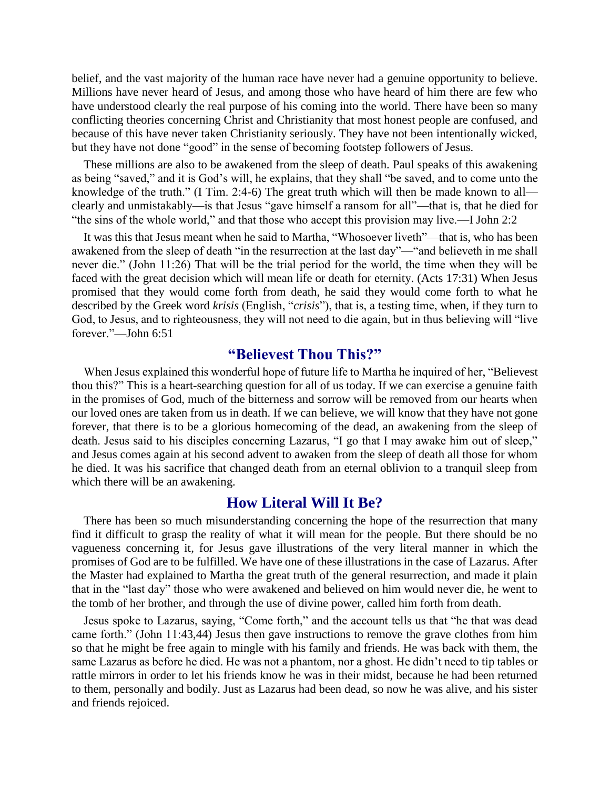belief, and the vast majority of the human race have never had a genuine opportunity to believe. Millions have never heard of Jesus, and among those who have heard of him there are few who have understood clearly the real purpose of his coming into the world. There have been so many conflicting theories concerning Christ and Christianity that most honest people are confused, and because of this have never taken Christianity seriously. They have not been intentionally wicked, but they have not done "good" in the sense of becoming footstep followers of Jesus.

These millions are also to be awakened from the sleep of death. Paul speaks of this awakening as being "saved," and it is God's will, he explains, that they shall "be saved, and to come unto the knowledge of the truth." (I Tim. 2:4-6) The great truth which will then be made known to all clearly and unmistakably—is that Jesus "gave himself a ransom for all"—that is, that he died for "the sins of the whole world," and that those who accept this provision may live.—I John 2:2

It was this that Jesus meant when he said to Martha, "Whosoever liveth"—that is, who has been awakened from the sleep of death "in the resurrection at the last day"—"and believeth in me shall never die." (John 11:26) That will be the trial period for the world, the time when they will be faced with the great decision which will mean life or death for eternity. (Acts 17:31) When Jesus promised that they would come forth from death, he said they would come forth to what he described by the Greek word *krisis* (English, "*crisis*"), that is, a testing time, when, if they turn to God, to Jesus, and to righteousness, they will not need to die again, but in thus believing will "live forever."—John 6:51

### **"Believest Thou This?"**

When Jesus explained this wonderful hope of future life to Martha he inquired of her, "Believest thou this?" This is a heart-searching question for all of us today. If we can exercise a genuine faith in the promises of God, much of the bitterness and sorrow will be removed from our hearts when our loved ones are taken from us in death. If we can believe, we will know that they have not gone forever, that there is to be a glorious homecoming of the dead, an awakening from the sleep of death. Jesus said to his disciples concerning Lazarus, "I go that I may awake him out of sleep," and Jesus comes again at his second advent to awaken from the sleep of death all those for whom he died. It was his sacrifice that changed death from an eternal oblivion to a tranquil sleep from which there will be an awakening.

#### **How Literal Will It Be?**

There has been so much misunderstanding concerning the hope of the resurrection that many find it difficult to grasp the reality of what it will mean for the people. But there should be no vagueness concerning it, for Jesus gave illustrations of the very literal manner in which the promises of God are to be fulfilled. We have one of these illustrations in the case of Lazarus. After the Master had explained to Martha the great truth of the general resurrection, and made it plain that in the "last day" those who were awakened and believed on him would never die, he went to the tomb of her brother, and through the use of divine power, called him forth from death.

Jesus spoke to Lazarus, saying, "Come forth," and the account tells us that "he that was dead came forth." (John 11:43,44) Jesus then gave instructions to remove the grave clothes from him so that he might be free again to mingle with his family and friends. He was back with them, the same Lazarus as before he died. He was not a phantom, nor a ghost. He didn't need to tip tables or rattle mirrors in order to let his friends know he was in their midst, because he had been returned to them, personally and bodily. Just as Lazarus had been dead, so now he was alive, and his sister and friends rejoiced.